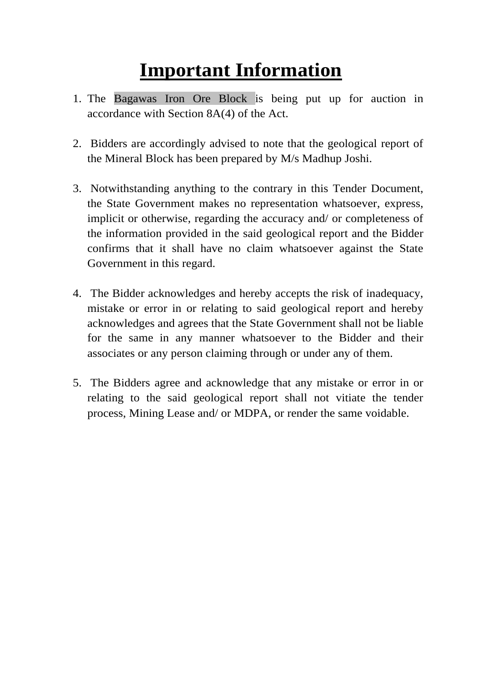# **Important Information**

- 1. The Bagawas Iron Ore Block is being put up for auction in accordance with Section 8A(4) of the Act.
- 2. Bidders are accordingly advised to note that the geological report of the Mineral Block has been prepared by M/s Madhup Joshi.
- 3. Notwithstanding anything to the contrary in this Tender Document, the State Government makes no representation whatsoever, express, implicit or otherwise, regarding the accuracy and/ or completeness of the information provided in the said geological report and the Bidder confirms that it shall have no claim whatsoever against the State Government in this regard.
- 4. The Bidder acknowledges and hereby accepts the risk of inadequacy, mistake or error in or relating to said geological report and hereby acknowledges and agrees that the State Government shall not be liable for the same in any manner whatsoever to the Bidder and their associates or any person claiming through or under any of them.
- 5. The Bidders agree and acknowledge that any mistake or error in or relating to the said geological report shall not vitiate the tender process, Mining Lease and/ or MDPA, or render the same voidable.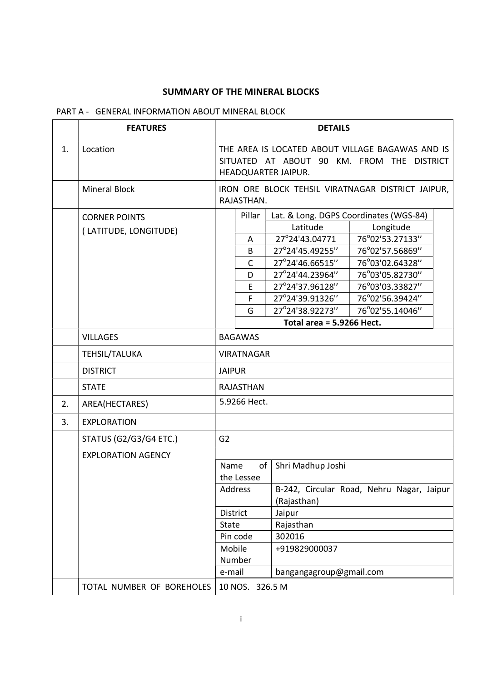## SUMMARY OF THE MINERAL BLOCKS

# PART A - GENERAL INFORMATION ABOUT MINERAL BLOCK

|    | <b>FEATURES</b>                               | <b>DETAILS</b>                                                                                                        |                                                                                                                                              |                                                                                                                                                                                          |  |
|----|-----------------------------------------------|-----------------------------------------------------------------------------------------------------------------------|----------------------------------------------------------------------------------------------------------------------------------------------|------------------------------------------------------------------------------------------------------------------------------------------------------------------------------------------|--|
| 1. | Location                                      | THE AREA IS LOCATED ABOUT VILLAGE BAGAWAS AND IS<br>SITUATED AT ABOUT 90 KM. FROM THE DISTRICT<br>HEADQUARTER JAIPUR. |                                                                                                                                              |                                                                                                                                                                                          |  |
|    | <b>Mineral Block</b>                          | IRON ORE BLOCK TEHSIL VIRATNAGAR DISTRICT JAIPUR,<br>RAJASTHAN.                                                       |                                                                                                                                              |                                                                                                                                                                                          |  |
|    | <b>CORNER POINTS</b><br>(LATITUDE, LONGITUDE) | Pillar<br>A<br>B<br>$\mathsf{C}$<br>D<br>E<br>F<br>G                                                                  | Latitude<br>27°24'43.04771<br>27°24'45.49255"<br>27°24'46.66515"<br>27°24'44.23964"<br>27°24'37.96128"<br>27°24'39.91326"<br>27°24'38.92273" | Lat. & Long. DGPS Coordinates (WGS-84)<br>Longitude<br>76°02'53.27133"<br>76°02'57.56869"<br>76°03'02.64328"<br>76°03'05.82730"<br>76°03'03.33827"<br>76°02'56.39424"<br>76°02'55.14046" |  |
|    |                                               |                                                                                                                       | Total area = $5.9266$ Hect.                                                                                                                  |                                                                                                                                                                                          |  |
|    | <b>VILLAGES</b>                               | <b>BAGAWAS</b>                                                                                                        |                                                                                                                                              |                                                                                                                                                                                          |  |
|    | TEHSIL/TALUKA                                 | <b>VIRATNAGAR</b>                                                                                                     |                                                                                                                                              |                                                                                                                                                                                          |  |
|    | <b>DISTRICT</b>                               | <b>JAIPUR</b>                                                                                                         |                                                                                                                                              |                                                                                                                                                                                          |  |
|    | <b>STATE</b>                                  | <b>RAJASTHAN</b>                                                                                                      |                                                                                                                                              |                                                                                                                                                                                          |  |
| 2. | AREA(HECTARES)                                | 5.9266 Hect.                                                                                                          |                                                                                                                                              |                                                                                                                                                                                          |  |
| 3. | <b>EXPLORATION</b>                            |                                                                                                                       |                                                                                                                                              |                                                                                                                                                                                          |  |
|    | <b>STATUS (G2/G3/G4 ETC.)</b>                 | G <sub>2</sub>                                                                                                        |                                                                                                                                              |                                                                                                                                                                                          |  |
|    | <b>EXPLORATION AGENCY</b>                     | of<br>Name<br>the Lessee<br>Address<br><b>District</b><br><b>State</b><br>Pin code<br>Mobile<br>Number<br>e-mail      | Shri Madhup Joshi<br>(Rajasthan)<br>Jaipur<br>Rajasthan<br>302016<br>+919829000037                                                           | B-242, Circular Road, Nehru Nagar, Jaipur                                                                                                                                                |  |
|    | TOTAL NUMBER OF BOREHOLES                     | bangangagroup@gmail.com<br>10 NOS. 326.5 M                                                                            |                                                                                                                                              |                                                                                                                                                                                          |  |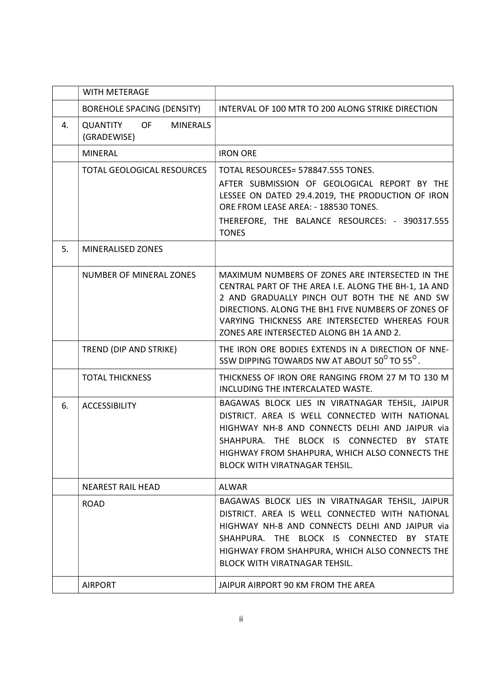|    | <b>WITH METERAGE</b>                                           |                                                                                                                                                                                                                                                                                                             |
|----|----------------------------------------------------------------|-------------------------------------------------------------------------------------------------------------------------------------------------------------------------------------------------------------------------------------------------------------------------------------------------------------|
|    | <b>BOREHOLE SPACING (DENSITY)</b>                              | INTERVAL OF 100 MTR TO 200 ALONG STRIKE DIRECTION                                                                                                                                                                                                                                                           |
| 4. | <b>QUANTITY</b><br><b>OF</b><br><b>MINERALS</b><br>(GRADEWISE) |                                                                                                                                                                                                                                                                                                             |
|    | <b>MINERAL</b>                                                 | <b>IRON ORE</b>                                                                                                                                                                                                                                                                                             |
|    | <b>TOTAL GEOLOGICAL RESOURCES</b>                              | TOTAL RESOURCES= 578847.555 TONES.                                                                                                                                                                                                                                                                          |
|    |                                                                | AFTER SUBMISSION OF GEOLOGICAL REPORT BY THE<br>LESSEE ON DATED 29.4.2019, THE PRODUCTION OF IRON<br>ORE FROM LEASE AREA: - 188530 TONES.                                                                                                                                                                   |
|    |                                                                | THEREFORE, THE BALANCE RESOURCES: - 390317.555<br><b>TONES</b>                                                                                                                                                                                                                                              |
| 5. | <b>MINERALISED ZONES</b>                                       |                                                                                                                                                                                                                                                                                                             |
|    | <b>NUMBER OF MINERAL ZONES</b>                                 | MAXIMUM NUMBERS OF ZONES ARE INTERSECTED IN THE<br>CENTRAL PART OF THE AREA I.E. ALONG THE BH-1, 1A AND<br>2 AND GRADUALLY PINCH OUT BOTH THE NE AND SW<br>DIRECTIONS. ALONG THE BH1 FIVE NUMBERS OF ZONES OF<br>VARYING THICKNESS ARE INTERSECTED WHEREAS FOUR<br>ZONES ARE INTERSECTED ALONG BH 1A AND 2. |
|    | TREND (DIP AND STRIKE)                                         | THE IRON ORE BODIES EXTENDS IN A DIRECTION OF NNE-<br>SSW DIPPING TOWARDS NW AT ABOUT 50 <sup>°</sup> TO 55 <sup>°</sup> .                                                                                                                                                                                  |
|    | <b>TOTAL THICKNESS</b>                                         | THICKNESS OF IRON ORE RANGING FROM 27 M TO 130 M<br>INCLUDING THE INTERCALATED WASTE.                                                                                                                                                                                                                       |
| 6. | <b>ACCESSIBILITY</b>                                           | BAGAWAS BLOCK LIES IN VIRATNAGAR TEHSIL, JAIPUR<br>DISTRICT. AREA IS WELL CONNECTED WITH NATIONAL<br>HIGHWAY NH-8 AND CONNECTS DELHI AND JAIPUR via<br>SHAHPURA. THE BLOCK IS CONNECTED BY STATE<br>HIGHWAY FROM SHAHPURA, WHICH ALSO CONNECTS THE<br><b>BLOCK WITH VIRATNAGAR TEHSIL.</b>                  |
|    | <b>NEAREST RAIL HEAD</b>                                       | <b>ALWAR</b>                                                                                                                                                                                                                                                                                                |
|    | <b>ROAD</b>                                                    | BAGAWAS BLOCK LIES IN VIRATNAGAR TEHSIL, JAIPUR<br>DISTRICT. AREA IS WELL CONNECTED WITH NATIONAL<br>HIGHWAY NH-8 AND CONNECTS DELHI AND JAIPUR via<br>SHAHPURA. THE BLOCK IS CONNECTED BY STATE<br>HIGHWAY FROM SHAHPURA, WHICH ALSO CONNECTS THE<br><b>BLOCK WITH VIRATNAGAR TEHSIL.</b>                  |
|    | <b>AIRPORT</b>                                                 | JAIPUR AIRPORT 90 KM FROM THE AREA                                                                                                                                                                                                                                                                          |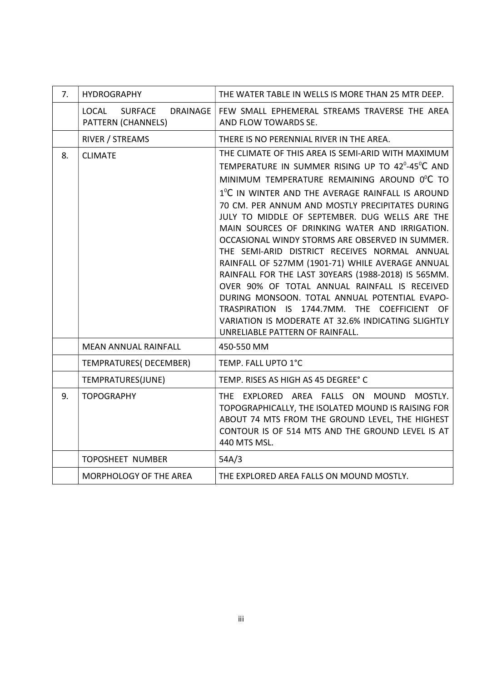| 7. | <b>HYDROGRAPHY</b>                                                      | THE WATER TABLE IN WELLS IS MORE THAN 25 MTR DEEP.                                                                                                                                                                                                                                                                                                                                                                                                                                                                                                                                                                                                                                                                                                                                                                                                               |  |
|----|-------------------------------------------------------------------------|------------------------------------------------------------------------------------------------------------------------------------------------------------------------------------------------------------------------------------------------------------------------------------------------------------------------------------------------------------------------------------------------------------------------------------------------------------------------------------------------------------------------------------------------------------------------------------------------------------------------------------------------------------------------------------------------------------------------------------------------------------------------------------------------------------------------------------------------------------------|--|
|    | <b>LOCAL</b><br><b>SURFACE</b><br><b>DRAINAGE</b><br>PATTERN (CHANNELS) | FEW SMALL EPHEMERAL STREAMS TRAVERSE THE AREA<br>AND FLOW TOWARDS SE.                                                                                                                                                                                                                                                                                                                                                                                                                                                                                                                                                                                                                                                                                                                                                                                            |  |
|    | RIVER / STREAMS                                                         | THERE IS NO PERENNIAL RIVER IN THE AREA.                                                                                                                                                                                                                                                                                                                                                                                                                                                                                                                                                                                                                                                                                                                                                                                                                         |  |
| 8. | <b>CLIMATE</b>                                                          | THE CLIMATE OF THIS AREA IS SEMI-ARID WITH MAXIMUM<br>TEMPERATURE IN SUMMER RISING UP TO 42 <sup>0</sup> -45 <sup>°</sup> C AND<br>MINIMUM TEMPERATURE REMAINING AROUND 0°C TO<br>1 <sup>°</sup> C IN WINTER AND THE AVERAGE RAINFALL IS AROUND<br>70 CM. PER ANNUM AND MOSTLY PRECIPITATES DURING<br>JULY TO MIDDLE OF SEPTEMBER. DUG WELLS ARE THE<br>MAIN SOURCES OF DRINKING WATER AND IRRIGATION.<br>OCCASIONAL WINDY STORMS ARE OBSERVED IN SUMMER.<br>THE SEMI-ARID DISTRICT RECEIVES NORMAL ANNUAL<br>RAINFALL OF 527MM (1901-71) WHILE AVERAGE ANNUAL<br>RAINFALL FOR THE LAST 30YEARS (1988-2018) IS 565MM.<br>OVER 90% OF TOTAL ANNUAL RAINFALL IS RECEIVED<br>DURING MONSOON. TOTAL ANNUAL POTENTIAL EVAPO-<br>TRASPIRATION IS 1744.7MM. THE COEFFICIENT OF<br>VARIATION IS MODERATE AT 32.6% INDICATING SLIGHTLY<br>UNRELIABLE PATTERN OF RAINFALL. |  |
|    | <b>MEAN ANNUAL RAINFALL</b>                                             | 450-550 MM                                                                                                                                                                                                                                                                                                                                                                                                                                                                                                                                                                                                                                                                                                                                                                                                                                                       |  |
|    | TEMPRATURES(DECEMBER)                                                   | TEMP. FALL UPTO 1°C                                                                                                                                                                                                                                                                                                                                                                                                                                                                                                                                                                                                                                                                                                                                                                                                                                              |  |
|    | TEMPRATURES(JUNE)                                                       | TEMP. RISES AS HIGH AS 45 DEGREE° C                                                                                                                                                                                                                                                                                                                                                                                                                                                                                                                                                                                                                                                                                                                                                                                                                              |  |
| 9. | <b>TOPOGRAPHY</b>                                                       | THE EXPLORED AREA FALLS ON MOUND<br>MOSTLY.<br>TOPOGRAPHICALLY, THE ISOLATED MOUND IS RAISING FOR<br>ABOUT 74 MTS FROM THE GROUND LEVEL, THE HIGHEST<br>CONTOUR IS OF 514 MTS AND THE GROUND LEVEL IS AT<br>440 MTS MSL.                                                                                                                                                                                                                                                                                                                                                                                                                                                                                                                                                                                                                                         |  |
|    | <b>TOPOSHEET NUMBER</b>                                                 | 54A/3                                                                                                                                                                                                                                                                                                                                                                                                                                                                                                                                                                                                                                                                                                                                                                                                                                                            |  |
|    | MORPHOLOGY OF THE AREA                                                  | THE EXPLORED AREA FALLS ON MOUND MOSTLY.                                                                                                                                                                                                                                                                                                                                                                                                                                                                                                                                                                                                                                                                                                                                                                                                                         |  |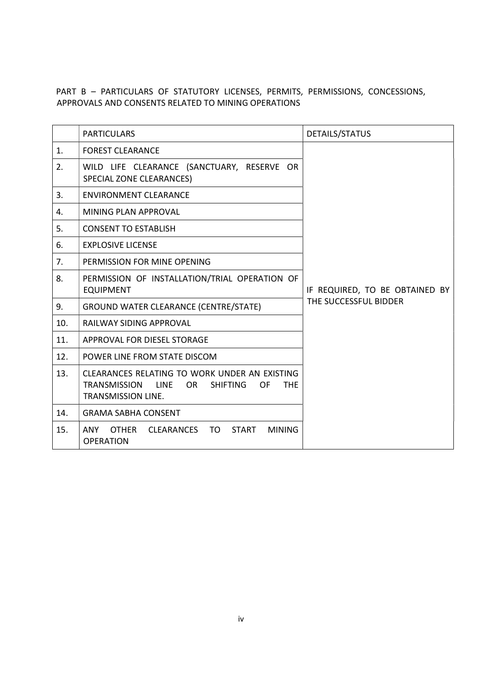## PART B – PARTICULARS OF STATUTORY LICENSES, PERMITS, PERMISSIONS, CONCESSIONS, APPROVALS AND CONSENTS RELATED TO MINING OPERATIONS

|     | <b>PARTICULARS</b>                                                                                                                                              | DETAILS/STATUS                                          |
|-----|-----------------------------------------------------------------------------------------------------------------------------------------------------------------|---------------------------------------------------------|
| 1.  | <b>FOREST CLEARANCE</b>                                                                                                                                         |                                                         |
| 2.  | WILD LIFE CLEARANCE (SANCTUARY, RESERVE OR<br><b>SPECIAL ZONE CLEARANCES)</b>                                                                                   |                                                         |
| 3.  | <b>ENVIRONMENT CLEARANCE</b>                                                                                                                                    |                                                         |
| 4.  | <b>MINING PLAN APPROVAL</b>                                                                                                                                     | IF REQUIRED, TO BE OBTAINED BY<br>THE SUCCESSFUL BIDDER |
| 5.  | <b>CONSENT TO ESTABLISH</b>                                                                                                                                     |                                                         |
| 6.  | <b>EXPLOSIVE LICENSE</b>                                                                                                                                        |                                                         |
| 7.  | PERMISSION FOR MINE OPENING                                                                                                                                     |                                                         |
| 8.  | PERMISSION OF INSTALLATION/TRIAL OPERATION OF<br><b>EQUIPMENT</b>                                                                                               |                                                         |
| 9.  | <b>GROUND WATER CLEARANCE (CENTRE/STATE)</b>                                                                                                                    |                                                         |
| 10. | <b>RAILWAY SIDING APPROVAL</b>                                                                                                                                  |                                                         |
| 11. | APPROVAL FOR DIESEL STORAGE                                                                                                                                     |                                                         |
| 12. | POWER LINE FROM STATE DISCOM                                                                                                                                    |                                                         |
| 13. | CLEARANCES RELATING TO WORK UNDER AN EXISTING<br><b>TRANSMISSION</b><br><b>SHIFTING</b><br><b>LINE</b><br>OR .<br>OF<br><b>THE</b><br><b>TRANSMISSION LINE.</b> |                                                         |
| 14. | <b>GRAMA SABHA CONSENT</b>                                                                                                                                      |                                                         |
| 15. | CLEARANCES TO<br>ANY<br><b>OTHER</b><br><b>START</b><br><b>MINING</b><br><b>OPERATION</b>                                                                       |                                                         |